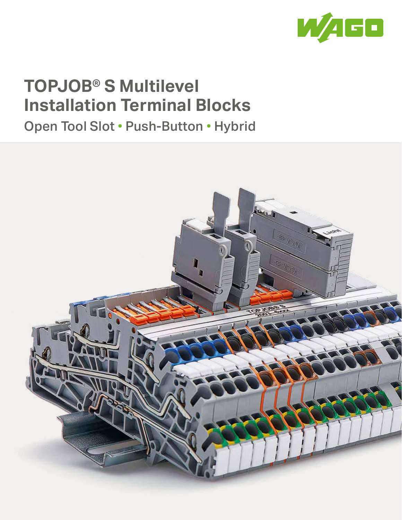

# **TOPJOB® S Multilevel Installation Terminal Blocks**

Open Tool Slot • Push-Button • Hybrid

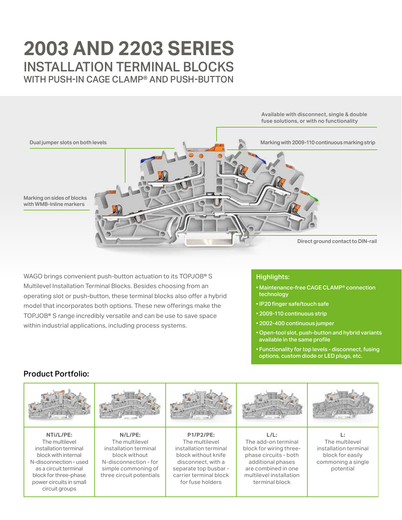## **2003 AND 2203 SERIES** INSTALLATION TERMINAL BLOCKS WITH PUSH-IN CAGE CLAMP**®** AND PUSH-BUTTON



WAGO brings convenient push-button actuation to its TOPJOB**®** S Multilevel Installation Terminal Blocks. Besides choosing from an operating slot or push-button, these terminal blocks also offer a hybrid model that incorporates both options. These new offerings make the TOPJOB**®** S range incredibly versatile and can be use to save space within industrial applications, including process systems.

### Highlights:

- Maintenance-free CAGE CLAMP® connection technology
- IP20 finger safe/touch safe
- 2009-110 continuous strip
- 2002-400 continuous jumper
- Open-tool slot, push-button and hybrid variants available in the same profile
- Functionality for top levels disconnect, fusing options, custom diode or LED plugs, etc.

## Product Portfolio:



**NTi/L/PE:** The multilevel installation terminal block with internal N-disconnection - used as a circuit terminal block for three-phase power circuits in small circuit groups



**N/L/PE:** The multilevel installation terminal block without N-disconnection - for simple commoning of three circuit potentials



**P1/P2/PE:** The multilevel installation terminal block without knife disconnect, with a separate top busbar carrier terminal block for fuse holders



**L/L:** The add-on terminal block for wiring threephase circuits - both additional phases are combined in one multilevel installation terminal block



**L:**  The multilevel installation terminal block for easily commoning a single potential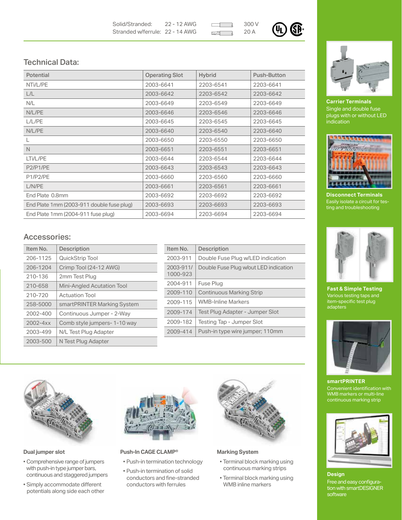Solid/Stranded: 22 - 12 AWG Stranded w/ferrule: 22 - 14 AWG

 $_{20 A}$  (UL **SR** 

## Technical Data:

| Potential                                 | <b>Operating Slot</b> | <b>Hybrid</b> | Push-Button |
|-------------------------------------------|-----------------------|---------------|-------------|
| NTi/L/PE                                  | 2003-6641             | 2203-6541     | 2203-6641   |
| L/L                                       | 2003-6642             | 2203-6542     | 2203-6642   |
| N/L                                       | 2003-6649             | 2203-6549     | 2203-6649   |
| N/L/PE                                    | 2003-6646             | 2203-6546     | 2203-6646   |
| L/L/PE                                    | 2003-6645             | 2203-6545     | 2203-6645   |
| N/L/PE                                    | 2003-6640             | 2203-6540     | 2203-6640   |
|                                           | 2003-6650             | 2203-6550     | 2203-6650   |
| N                                         | 2003-6651             | 2203-6551     | 2203-6651   |
| LTi/L/PE                                  | 2003-6644             | 2203-6544     | 2203-6644   |
| P2/P1/PE                                  | 2003-6643             | 2203-6543     | 2203-6643   |
| P1/P2/PE                                  | 2003-6660             | 2203-6560     | 2203-6660   |
| L/N/PE                                    | 2003-6661             | 2203-6561     | 2203-6661   |
| End Plate 0.8mm                           | 2003-6692             | 2203-6692     | 2203-6692   |
| End Plate 1mm (2003-911 double fuse plug) | 2003-6693             | 2203-6693     | 2203-6693   |
| End Plate 1mm (2004-911 fuse plug)        | 2003-6694             | 2203-6694     | 2203-6694   |

## Accessories:

| Item No.     | <b>Description</b>                |
|--------------|-----------------------------------|
| 206-1125     | QuickStrip Tool                   |
| 206-1204     | Crimp Tool (24-12 AWG)            |
| 210-136      | 2mm Test Plug                     |
| 210-658      | <b>Mini-Angled Acutation Tool</b> |
| 210-720      | <b>Actuation Tool</b>             |
| 258-5000     | smartPRINTER Marking System       |
| 2002-400     | Continuous Jumper - 2-Way         |
| $2002 - 4xx$ | Comb style jumpers-1-10 way       |
| 2003-499     | N/L Test Plug Adapter             |
| 2003-500     | N Test Plug Adapter               |

| Item No.              | <b>Description</b>                    |
|-----------------------|---------------------------------------|
| 2003-911              | Double Fuse Plug w/LED indication     |
| 2003-911/<br>1000-923 | Double Fuse Plug w/out LED indication |
| 2004-911              | Fuse Plug                             |
| 2009-110              | <b>Continuous Marking Strip</b>       |
| 2009-115              | <b>WMB-Inline Markers</b>             |
| 2009-174              | Test Plug Adapter - Jumper Slot       |
| 2009-182              | Testing Tap - Jumper Slot             |
| 2009-414              | Push-in type wire jumper; 110mm       |



#### **Dual jumper slot**

- � Comprehensive range of jumpers with push-in type jumper bars, continuous and staggered jumpers
- � Simply accommodate different potentials along side each other



#### **Push-In CAGE CLAMP®**

- � Push-in termination technology
- � Push-in termination of solid conductors and fine-stranded conductors with ferrules



#### **Marking System**

- � Terminal block marking using continuous marking strips
- � Terminal block marking using WMB inline markers



**Carrier Terminals** Single and double fuse plugs with or without LED indication



**Disconnect Terminals** Easily isolate a circuit for testing and troubleshooting



**Fast & Simple Testing** Various testing taps and item-specific test plug adapters



**smartPRINTER** Convenient identification with WMB markers or multi-line continuous marking strip



#### **Design**

Free and easy configuration with smartDESIGNER software